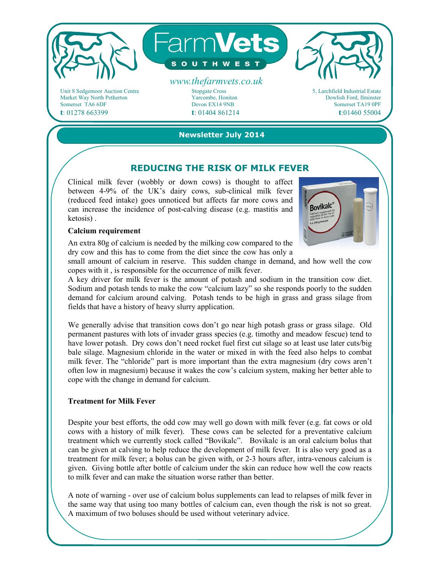

Unit 8 Sedgemoor Auction Centre Market Way North Petherton Somerset TA6 6DF **t**: 01278 663399

Stopgate Cross Yarcombe, Honiton Devon EX14 9NB **t**: 01404 861214



**Newsletter July 2014** 

### **REDUCING THE RISK OF MILK FEVER**

Clinical milk fever (wobbly or down cows) is thought to affect between 4-9% of the UK's dairy cows, sub-clinical milk fever (reduced feed intake) goes unnoticed but affects far more cows and can increase the incidence of post-calving disease (e.g. mastitis and ketosis) .



#### **Calcium requirement**

An extra 80g of calcium is needed by the milking cow compared to the dry cow and this has to come from the diet since the cow has only a

small amount of calcium in reserve. This sudden change in demand, and how well the cow copes with it , is responsible for the occurrence of milk fever.

A key driver for milk fever is the amount of potash and sodium in the transition cow diet. Sodium and potash tends to make the cow "calcium lazy" so she responds poorly to the sudden demand for calcium around calving. Potash tends to be high in grass and grass silage from fields that have a history of heavy slurry application.

We generally advise that transition cows don't go near high potash grass or grass silage. Old permanent pastures with lots of invader grass species (e.g. timothy and meadow fescue) tend to have lower potash. Dry cows don't need rocket fuel first cut silage so at least use later cuts/big bale silage. Magnesium chloride in the water or mixed in with the feed also helps to combat milk fever. The "chloride" part is more important than the extra magnesium (dry cows aren't often low in magnesium) because it wakes the cow's calcium system, making her better able to cope with the change in demand for calcium.

#### **Treatment for Milk Fever**

Despite your best efforts, the odd cow may well go down with milk fever (e.g. fat cows or old cows with a history of milk fever). These cows can be selected for a preventative calcium treatment which we currently stock called "Bovikalc". Bovikalc is an oral calcium bolus that can be given at calving to help reduce the development of milk fever. It is also very good as a treatment for milk fever; a bolus can be given with, or 2-3 hours after, intra-venous calcium is given. Giving bottle after bottle of calcium under the skin can reduce how well the cow reacts to milk fever and can make the situation worse rather than better.

A note of warning - over use of calcium bolus supplements can lead to relapses of milk fever in the same way that using too many bottles of calcium can, even though the risk is not so great. A maximum of two boluses should be used without veterinary advice.